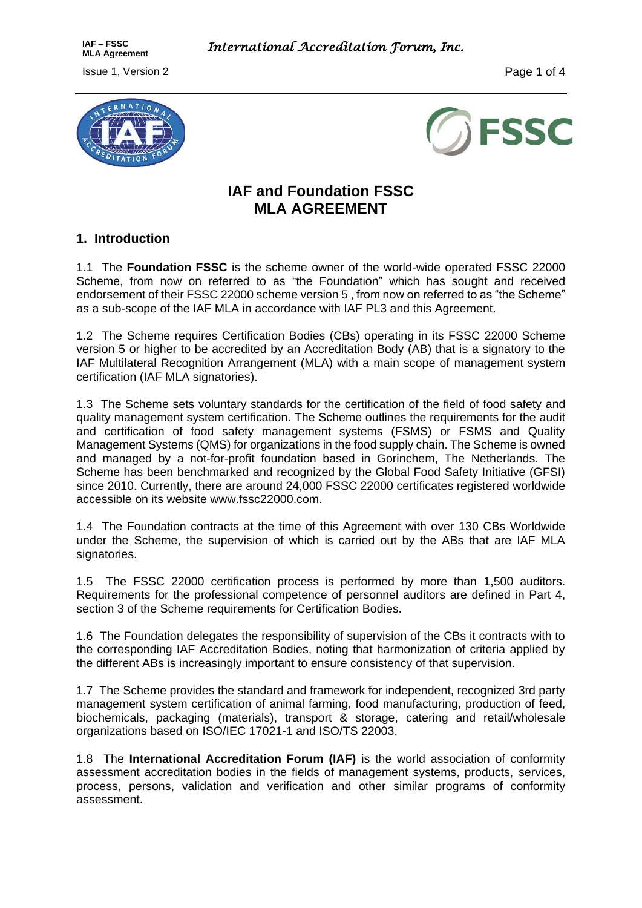**MLA Agreement** *International Accreditation Forum, Inc.* 

**Issue 1, Version 2** Page 1 of 4

**IAF – FSSC**





# **IAF and Foundation FSSC MLA AGREEMENT**

### **1. Introduction**

1.1 The **Foundation FSSC** is the scheme owner of the world-wide operated FSSC 22000 Scheme, from now on referred to as "the Foundation" which has sought and received endorsement of their FSSC 22000 scheme version 5 , from now on referred to as "the Scheme" as a sub-scope of the IAF MLA in accordance with IAF PL3 and this Agreement.

1.2 The Scheme requires Certification Bodies (CBs) operating in its FSSC 22000 Scheme version 5 or higher to be accredited by an Accreditation Body (AB) that is a signatory to the IAF Multilateral Recognition Arrangement (MLA) with a main scope of management system certification (IAF MLA signatories).

1.3 The Scheme sets voluntary standards for the certification of the field of food safety and quality management system certification. The Scheme outlines the requirements for the audit and certification of food safety management systems (FSMS) or FSMS and Quality Management Systems (QMS) for organizations in the food supply chain. The Scheme is owned and managed by a not-for-profit foundation based in Gorinchem, The Netherlands. The Scheme has been benchmarked and recognized by the Global Food Safety Initiative (GFSI) since 2010. Currently, there are around 24,000 FSSC 22000 certificates registered worldwide accessible on its website www.fssc22000.com.

1.4 The Foundation contracts at the time of this Agreement with over 130 CBs Worldwide under the Scheme, the supervision of which is carried out by the ABs that are IAF MLA signatories.

1.5 The FSSC 22000 certification process is performed by more than 1,500 auditors. Requirements for the professional competence of personnel auditors are defined in Part 4, section 3 of the Scheme requirements for Certification Bodies.

1.6 The Foundation delegates the responsibility of supervision of the CBs it contracts with to the corresponding IAF Accreditation Bodies, noting that harmonization of criteria applied by the different ABs is increasingly important to ensure consistency of that supervision.

1.7 The Scheme provides the standard and framework for independent, recognized 3rd party management system certification of animal farming, food manufacturing, production of feed, biochemicals, packaging (materials), transport & storage, catering and retail/wholesale organizations based on ISO/IEC 17021-1 and ISO/TS 22003.

1.8 The **International Accreditation Forum (IAF)** is the world association of conformity assessment accreditation bodies in the fields of management systems, products, services, process, persons, validation and verification and other similar programs of conformity assessment.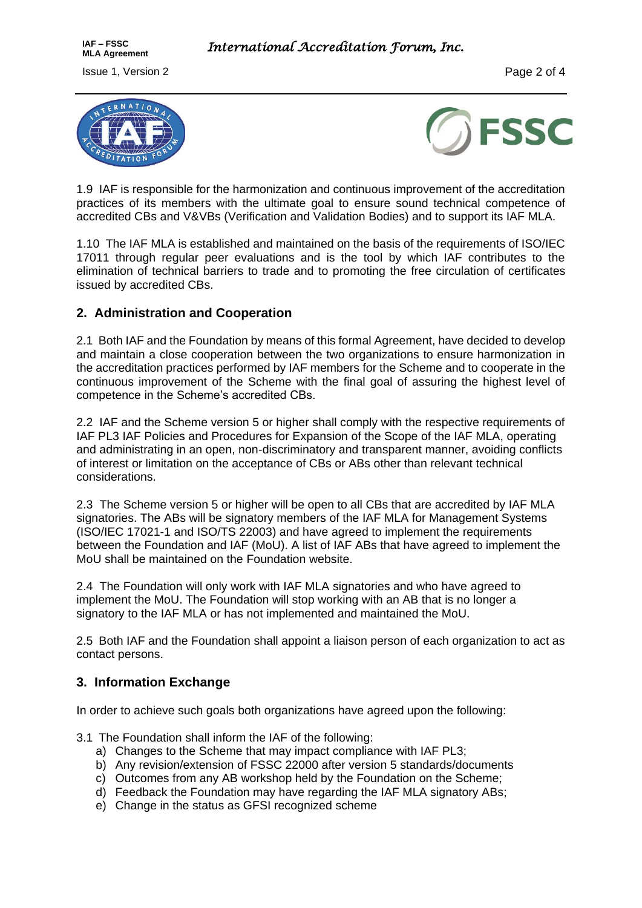



1.9 IAF is responsible for the harmonization and continuous improvement of the accreditation practices of its members with the ultimate goal to ensure sound technical competence of accredited CBs and V&VBs (Verification and Validation Bodies) and to support its IAF MLA.

1.10 The IAF MLA is established and maintained on the basis of the requirements of ISO/IEC 17011 through regular peer evaluations and is the tool by which IAF contributes to the elimination of technical barriers to trade and to promoting the free circulation of certificates issued by accredited CBs.

### **2. Administration and Cooperation**

2.1 Both IAF and the Foundation by means of this formal Agreement, have decided to develop and maintain a close cooperation between the two organizations to ensure harmonization in the accreditation practices performed by IAF members for the Scheme and to cooperate in the continuous improvement of the Scheme with the final goal of assuring the highest level of competence in the Scheme's accredited CBs.

2.2 IAF and the Scheme version 5 or higher shall comply with the respective requirements of IAF PL3 IAF Policies and Procedures for Expansion of the Scope of the IAF MLA, operating and administrating in an open, non-discriminatory and transparent manner, avoiding conflicts of interest or limitation on the acceptance of CBs or ABs other than relevant technical considerations.

2.3 The Scheme version 5 or higher will be open to all CBs that are accredited by IAF MLA signatories. The ABs will be signatory members of the IAF MLA for Management Systems (ISO/IEC 17021-1 and ISO/TS 22003) and have agreed to implement the requirements between the Foundation and IAF (MoU). A list of IAF ABs that have agreed to implement the MoU shall be maintained on the Foundation website.

2.4 The Foundation will only work with IAF MLA signatories and who have agreed to implement the MoU. The Foundation will stop working with an AB that is no longer a signatory to the IAF MLA or has not implemented and maintained the MoU.

2.5 Both IAF and the Foundation shall appoint a liaison person of each organization to act as contact persons.

### **3. Information Exchange**

In order to achieve such goals both organizations have agreed upon the following:

3.1 The Foundation shall inform the IAF of the following:

- a) Changes to the Scheme that may impact compliance with IAF PL3;
- b) Any revision/extension of FSSC 22000 after version 5 standards/documents
- c) Outcomes from any AB workshop held by the Foundation on the Scheme;
- d) Feedback the Foundation may have regarding the IAF MLA signatory ABs;
- e) Change in the status as GFSI recognized scheme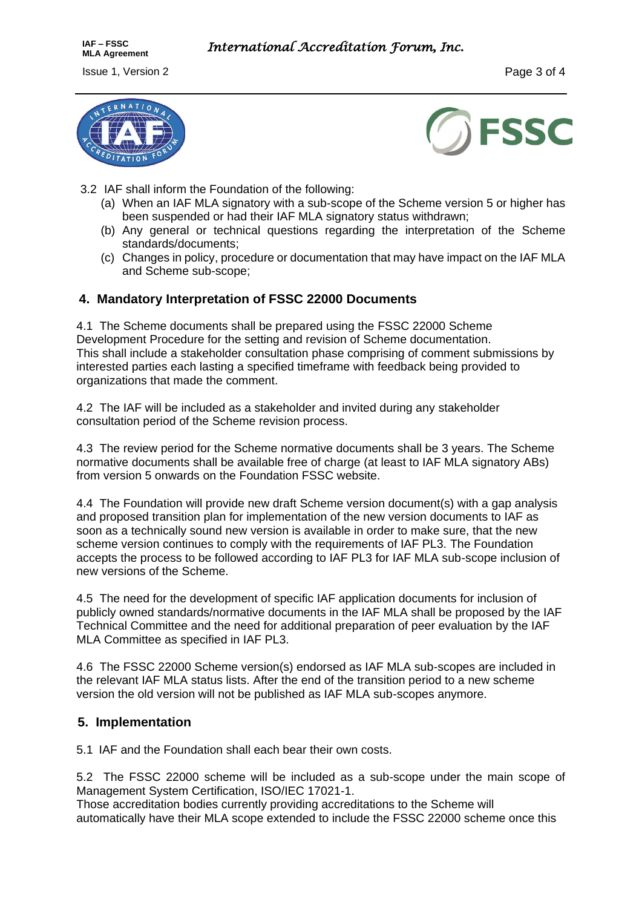



- 3.2 IAF shall inform the Foundation of the following:
	- (a) When an IAF MLA signatory with a sub-scope of the Scheme version 5 or higher has been suspended or had their IAF MLA signatory status withdrawn;
	- (b) Any general or technical questions regarding the interpretation of the Scheme standards/documents;
	- (c) Changes in policy, procedure or documentation that may have impact on the IAF MLA and Scheme sub-scope;

#### **4. Mandatory Interpretation of FSSC 22000 Documents**

4.1 The Scheme documents shall be prepared using the FSSC 22000 Scheme Development Procedure for the setting and revision of Scheme documentation. This shall include a stakeholder consultation phase comprising of comment submissions by interested parties each lasting a specified timeframe with feedback being provided to organizations that made the comment.

4.2 The IAF will be included as a stakeholder and invited during any stakeholder consultation period of the Scheme revision process.

4.3 The review period for the Scheme normative documents shall be 3 years. The Scheme normative documents shall be available free of charge (at least to IAF MLA signatory ABs) from version 5 onwards on the Foundation FSSC website.

4.4 The Foundation will provide new draft Scheme version document(s) with a gap analysis and proposed transition plan for implementation of the new version documents to IAF as soon as a technically sound new version is available in order to make sure, that the new scheme version continues to comply with the requirements of IAF PL3. The Foundation accepts the process to be followed according to IAF PL3 for IAF MLA sub-scope inclusion of new versions of the Scheme.

4.5 The need for the development of specific IAF application documents for inclusion of publicly owned standards/normative documents in the IAF MLA shall be proposed by the IAF Technical Committee and the need for additional preparation of peer evaluation by the IAF MLA Committee as specified in IAF PL3.

4.6 The FSSC 22000 Scheme version(s) endorsed as IAF MLA sub-scopes are included in the relevant IAF MLA status lists. After the end of the transition period to a new scheme version the old version will not be published as IAF MLA sub-scopes anymore.

#### **5. Implementation**

5.1 IAF and the Foundation shall each bear their own costs.

5.2 The FSSC 22000 scheme will be included as a sub-scope under the main scope of Management System Certification, ISO/IEC 17021-1.

Those accreditation bodies currently providing accreditations to the Scheme will automatically have their MLA scope extended to include the FSSC 22000 scheme once this